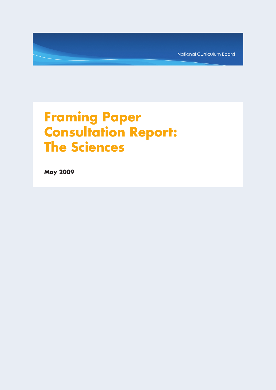National Curriculum Board

# **Framing Paper Consultation Report: The Sciences**

**May 2009**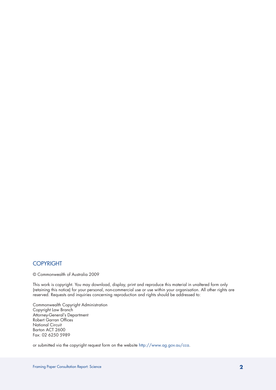# **COPYRIGHT**

© Commonwealth of Australia 2009

This work is copyright. You may download, display, print and reproduce this material in unaltered form only (retaining this notice) for your personal, non-commercial use or use within your organisation. All other rights are reserved. Requests and inquiries concerning reproduction and rights should be addressed to:

Commonwealth Copyright Administration Copyright Law Branch Attorney-General's Department Robert Garran Offices National Circuit Barton ACT 2600 Fax: 02 6250 5989

or submitted via the copyright request form on the website http://www.ag.gov.au/cca.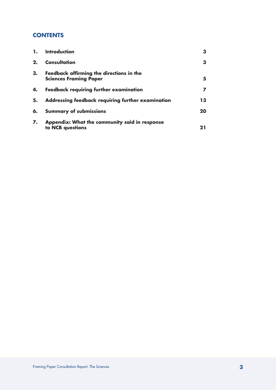# **CONTENTS**

| 1. | Introduction                                                              | З  |
|----|---------------------------------------------------------------------------|----|
| 2. | Consultation                                                              | З  |
| 3. | Feedback affirming the directions in the<br><b>Sciences Framing Paper</b> | 5  |
| 4. | <b>Feedback requiring further examination</b>                             |    |
| 5. | Addressing feedback requiring further examination                         | 13 |
| 6. | <b>Summary of submissions</b>                                             | 20 |
| 7. | Appendix: What the community said in response<br>to NCB questions         | 21 |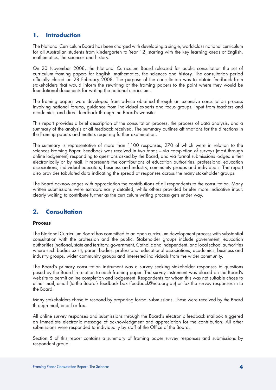# **1. Introduction**

The National Curriculum Board has been charged with developing a single, world-class national curriculum for all Australian students from kindergarten to Year 12, starting with the key learning areas of English, mathematics, the sciences and history.

On 20 November 2008, the National Curriculum Board released for public consultation the set of curriculum framing papers for English, mathematics, the sciences and history. The consultation period officially closed on 28 February 2008. The purpose of the consultation was to obtain feedback from stakeholders that would inform the rewriting of the framing papers to the point where they would be foundational documents for writing the national curriculum.

The framing papers were developed from advice obtained through an extensive consultation process involving national forums, guidance from individual experts and focus groups, input from teachers and academics, and direct feedback through the Board's website.

This report provides a brief description of the consultation process, the process of data analysis, and a summary of the analysis of all feedback received. The summary outlines affirmations for the directions in the framing papers and matters requiring further examination.

The summary is representative of more than 1100 responses, 270 of which were in relation to the sciences Framing Paper. Feedback was received in two forms – via completion of surveys (most through online lodgement) responding to questions asked by the Board, and via formal submissions lodged either electronically or by mail. It represents the contributions of education authorities, professional education associations, individual educators, business and industry, community groups and individuals. The report also provides tabulated data indicating the spread of responses across the many stakeholder groups.

The Board acknowledges with appreciation the contributions of all respondents to the consultation. Many written submissions were extraordinarily detailed, while others provided briefer more indicative input, clearly waiting to contribute further as the curriculum writing process gets under way.

# **2. Consultation**

## **Process**

The National Curriculum Board has committed to an open curriculum development process with substantial consultation with the profession and the public. Stakeholder groups include government, education authorities (national, state and territory, government, Catholic and Independent, and local school authorities where such bodies exist), parent bodies, professional educational associations, academics, business and industry groups, wider community groups and interested individuals from the wider community.

The Board's primary consultation instrument was a survey seeking stakeholder responses to questions posed by the Board in relation to each framing paper. The survey instrument was placed on the Board's website to permit online completion and lodgement. Respondents for whom this was not suitable chose to either mail, email (to the Board's feedback box (feedback@ncb.org.au) or fax the survey responses in to the Board.

Many stakeholders chose to respond by preparing formal submissions. These were received by the Board through mail, email or fax.

All online survey responses and submissions through the Board's electronic feedback mailbox triggered an immediate electronic message of acknowledgment and appreciation for the contribution. All other submissions were responded to individually by staff of the Office of the Board.

Section 5 of this report contains a summary of framing paper survey responses and submissions by respondent group.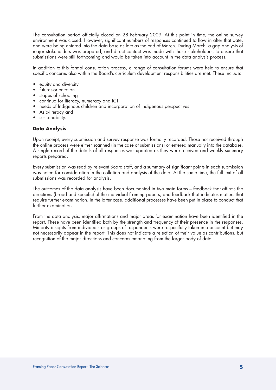The consultation period officially closed on 28 February 2009. At this point in time, the online survey environment was closed. However, significant numbers of responses continued to flow in after that date, and were being entered into the data base as late as the end of March. During March, a gap analysis of major stakeholders was prepared, and direct contact was made with those stakeholders, to ensure that submissions were still forthcoming and would be taken into account in the data analysis process.

In addition to this formal consultation process, a range of consultation forums were held to ensure that specific concerns also within the Board's curriculum development responsibilities are met. These include:

- equity and diversity
- futures-orientation
- stages of schooling
- continua for literacy, numeracy and ICT
- needs of Indigenous children and incorporation of Indigenous perspectives
- Asia-literacy and
- sustainability.

## **Data Analysis**

Upon receipt, every submission and survey response was formally recorded. Those not received through the online process were either scanned (in the case of submissions) or entered manually into the database. A single record of the details of all responses was updated as they were received and weekly summary reports prepared.

Every submission was read by relevant Board staff, and a summary of significant points in each submission was noted for consideration in the collation and analysis of the data. At the same time, the full text of all submissions was recorded for analysis.

The outcomes of the data analysis have been documented in two main forms – feedback that affirms the directions (broad and specific) of the individual framing papers, and feedback that indicates matters that require further examination. In the latter case, additional processes have been put in place to conduct that further examination.

From the data analysis, major affirmations and major areas for examination have been identified in the report. These have been identified both by the strength and frequency of their presence in the responses. Minority insights from individuals or groups of respondents were respectfully taken into account but may not necessarily appear in the report. This does not indicate a rejection of their value as contributions, but recognition of the major directions and concerns emanating from the larger body of data.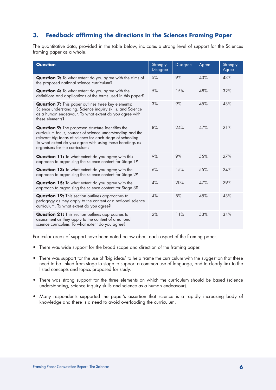# **3. Feedback affirming the directions in the Sciences Framing Paper**

The quantitative data, provided in the table below, indicates a strong level of support for the Sciences framing paper as a whole.

| <b>Question</b>                                                                                                                                                                                                                                                                    | Strongly<br><b>Disagree</b> | <b>Disagree</b> | Agree | Strongly<br>Agree |
|------------------------------------------------------------------------------------------------------------------------------------------------------------------------------------------------------------------------------------------------------------------------------------|-----------------------------|-----------------|-------|-------------------|
| <b>Question 2:</b> To what extent do you agree with the aims of<br>the proposed national science curriculum?                                                                                                                                                                       | 5%                          | 9%              | 43%   | 43%               |
| Question 4: To what extent do you agree with the<br>definitions and applications of the terms used in this paper?                                                                                                                                                                  | 5%                          | 15%             | 48%   | 32%               |
| <b>Question 7:</b> This paper outlines three key elements:<br>Science understanding, Science inquiry skills, and Science<br>as a human endeavour. To what extent do you agree with<br>these elements?                                                                              | 3%                          | 9%              | 45%   | 43%               |
| <b>Question 9:</b> The proposed structure identifies the<br>curriculum focus, sources of science understanding and the<br>relevant big ideas of science for each stage of schooling.<br>To what extent do you agree with using these headings as<br>organisers for the curriculum? | 8%                          | 24%             | 47%   | 21%               |
| <b>Question 11:</b> To what extent do you agree with this<br>approach to organising the science content for Stage 1?                                                                                                                                                               | 9%                          | 9%              | 55%   | 27%               |
| Question 13: To what extent do you agree with the<br>approach to organising the science content for Stage 2?                                                                                                                                                                       | 6%                          | 15%             | 55%   | 24%               |
| Question 15: To what extent do you agree with the<br>approach to organising the science content for Stage 3?                                                                                                                                                                       | 4%                          | 20%             | 47%   | 29%               |
| <b>Question 19:</b> This section outlines approaches to<br>pedagogy as they apply to the content of a national science<br>curriculum. To what extent do you agree?                                                                                                                 | 4%                          | 8%              | 45%   | 43%               |
| <b>Question 21:</b> This section outlines approaches to<br>assessment as they apply to the content of a national<br>science curriculum. To what extent do you agree?                                                                                                               | 2%                          | 11%             | 53%   | 34%               |

Particular areas of support have been noted below about each aspect of the framing paper.

- There was wide support for the broad scope and direction of the framing paper.
- There was support for the use of 'big ideas' to help frame the curriculum with the suggestion that these need to be linked from stage to stage to support a common use of language, and to clearly link to the listed concepts and topics proposed for study.
- There was strong support for the three elements on which the curriculum should be based (science understanding, science inquiry skills and science as a human endeavour).
- Many respondents supported the paper's assertion that science is a rapidly increasing body of knowledge and there is a need to avoid overloading the curriculum.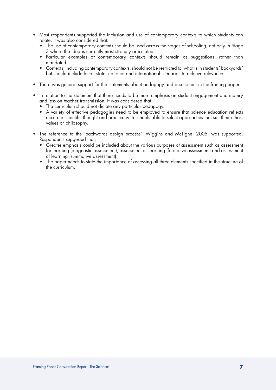- Most respondents supported the inclusion and use of contemporary contexts to which students can relate. It was also considered that:
	- The use of contemporary contexts should be used across the stages of schooling, not only in Stage 3 where the idea is currently most strongly articulated.
	- Particular examples of contemporary contexts should remain as suggestions, rather than mandated.
	- Contexts, including contemporary contexts, should not be restricted to 'what is in students' backyards' but should include local, state, national and international scenarios to achieve relevance.
- There was general support for the statements about pedagogy and assessment in the framing paper.
- In relation to the statement that there needs to be more emphasis on student engagement and inquiry and less on teacher transmission, it was considered that:
	- The curriculum should not dictate any particular pedagogy.
	- • A variety of effective pedagogies need to be employed to ensure that science education reflects accurate scientific thought and practice with schools able to select approaches that suit their ethos, values or philosophy.
- The reference to the 'backwards design process' (Wiggins and McTighe: 2005) was supported. Respondents suggested that:
	- • Greater emphasis could be included about the various purposes of assessment such as assessment for learning (diagnostic assessment), assessment as learning (formative assessment) and assessment of learning (summative assessment).
	- The paper needs to state the importance of assessing all three elements specified in the structure of the curriculum.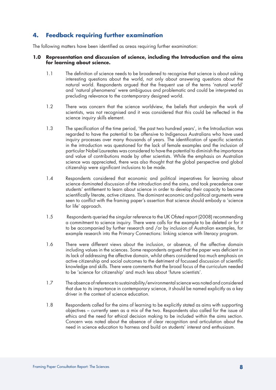# **4. Feedback requiring further examination**

The following matters have been identified as areas requiring further examination:

#### **1.0 Representation and discussion of science, including the Introduction and the aims for learning about science.**

- 1.1 The definition of science needs to be broadened to recognise that science is about asking interesting questions about the world, not only about answering questions about the natural world. Respondents argued that the frequent use of the terms 'natural world' and 'natural phenomena' were ambiguous and problematic and could be interpreted as precluding relevance to the contemporary designed world.
- 1.2 There was concern that the science worldview, the beliefs that underpin the work of scientists, was not recognised and it was considered that this could be reflected in the science inquiry skills element.
- 1.3 The specification of the time period, 'the past two hundred years', in the Introduction was regarded to have the potential to be offensive to Indigenous Australians who have used inquiry processes over many thousands of years. The identification of specific scientists in the introduction was questioned for the lack of female examples and the inclusion of particular Nobel Laureates was considered to have the potential to diminish the importance and value of contributions made by other scientists. While the emphasis on Australian science was appreciated, there was also thought that the global perspective and global citizenship were significant inclusions to be made.
- 1.4 Respondents considered that economic and political imperatives for learning about science dominated discussion of the introduction and the aims, and took precedence over students' entitlement to learn about science in order to develop their capacity to become scientifically literate, active citizens. The dominant economic and political arguments were seen to conflict with the framing paper's assertion that science should embody a 'science for life' approach.
- 1.5 Respondents queried the singular reference to the UK Ofsted report (2008) recommending a commitment to science inquiry. There were calls for the example to be deleted or for it to be accompanied by further research and /or by inclusion of Australian examples, for example research into the Primary Connections: linking science with literacy program.
- 1.6 There were different views about the inclusion, or absence, of the affective domain including values in the sciences. Some respondents argued that the paper was deficient in its lack of addressing the affective domain, whilst others considered too much emphasis on active citizenship and social outcomes to the detriment of focussed discussion of scientific knowledge and skills. There were comments that the broad focus of the curriculum needed to be 'science for citizenship' and much less about 'future scientists'.
- 1.7 The absence of reference to sustainability/environmental science was noted and considered that due to its importance in contemporary science, it should be named explicitly as a key driver in the context of science education.
- 1.8 Respondents called for the aims of learning to be explicitly stated as aims with supporting objectives – currently seen as a mix of the two. Respondents also called for the issue of ethics and the need for ethical decision making to be included within the aims section. Concern was noted about the absence of clear recognition and articulation about the need in science education to harness and build on students' interest and enthusiasm.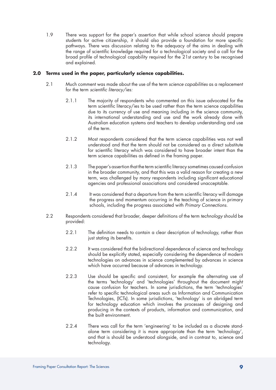1.9 There was support for the paper's assertion that while school science should prepare students for active citizenship, it should also provide a foundation for more specific pathways. There was discussion relating to the adequacy of the aims in dealing with the range of scientific knowledge required for a technological society and a call for the broad profile of technological capability required for the 21st century to be recognised and explained.

# **2.0 Terms used in the paper, particularly science capabilities.**

- 2.1 Much comment was made about the use of the term *science capabilities* as a replacement for the term *scientific literacy/ies:*
	- 2.1.1 The majority of respondents who commented on this issue advocated for the term scientific literacy/ies to be used rather than the term science capabilities due to its currency of use and meaning including in the science community, its international understanding and use and the work already done with Australian education systems and teachers to develop understanding and use of the term.
	- 2.1.2 Most respondents considered that the term science capabilities was not well understood and that the term should not be considered as a direct substitute for scientific literacy which was considered to have broader intent than the term science capabilities as defined in the framing paper.
	- 2.1.3 The paper's assertion that the term scientific literacy sometimes caused confusion in the broader community, and that this was a valid reason for creating a new term, was challenged by many respondents including significant educational agencies and professional associations and considered unacceptable.
	- 2.1.4 It was considered that a departure from the term scientific literacy will damage the progress and momentum occurring in the teaching of science in primary schools, including the progress associated with *Primary Connections.*
- 2.2 Respondents considered that broader, deeper definitions of the term *technology* should be provided:
	- 2.2.1 The definition needs to contain a clear description of technology, rather than just stating its benefits.
	- 2.2.2 It was considered that the bidirectional dependence of science and technology should be explicitly stated, especially considering the dependence of modern technologies on advances in science complemented by advances in science which have occurred because of advances in technology.
	- 2.2.3 Use should be specific and consistent, for example the alternating use of the terms 'technology' and 'technologies' throughout the document might cause confusion for teachers. In some jurisdictions, the term 'technologies' refer to specific technological areas such as Information and Communication Technologies, (ICTs). In some jurisdictions, 'technology' is an abridged term for technology education which involves the processes of designing and producing in the contexts of products, information and communication, and the built environment.
	- 2.2.4 There was call for the term 'engineering' to be included as a discrete standalone term considering it is more appropriate than the term 'technology', and that is should be understood alongside, and in contrast to, science and technology.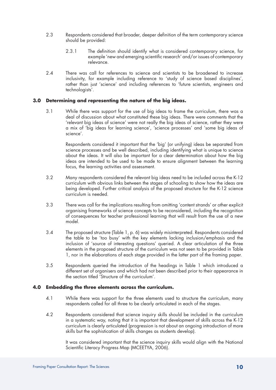- 2.3 Respondents considered that broader, deeper definition of the term contemporary science should be provided:
	- 2.3.1 The definition should identify what is considered contemporary science, for example 'new and emerging scientific research' and/or issues of contemporary relevance.
- 2.4 There was call for references to science and scientists to be broadened to increase inclusivity, for example including reference to 'study of science based disciplines', rather than just 'science' and including references to 'future scientists, engineers and technologists'.

# **3.0 Determining and representing the nature of the big ideas.**

3.1 While there was support for the use of big ideas to frame the curriculum, there was a deal of discussion about what constituted these big ideas. There were comments that the 'relevant big ideas of science' were not really the big ideas of science, rather they were a mix of 'big ideas for learning science', 'science processes' and 'some big ideas of science'.

 Respondents considered it important that the 'big' (or unifying) ideas be separated from science processes and be well described, including identifying what is unique to science about the ideas. It will also be important for a clear determination about how the big ideas are intended to be used to be made to ensure alignment between the learning focus, the learning activities and assessment.

- 3.2 Many respondents considered the relevant big ideas need to be included across the K-12 curriculum with obvious links between the stages of schooling to show how the ideas are being developed. Further critical analysis of the proposed structure for the K-12 science curriculum is needed.
- 3.3 There was call for the implications resulting from omitting 'content strands' or other explicit organising frameworks of science concepts to be reconsidered, including the recognition of consequences for teacher professional learning that will result from the use of a new model.
- 3.4 The proposed structure (Table 1, p. 6) was widely misinterpreted. Respondents considered the table to be 'too busy' with the key elements lacking inclusion/emphasis and the inclusion of 'source of interesting questions' queried. A clear articulation of the three elements in the proposed structure of the curriculum was not seen to be provided in Table 1, nor in the elaborations of each stage provided in the latter part of the framing paper.
- 3.5 Respondents queried the introduction of the headings in Table 1 which introduced a different set of organisers and which had not been described prior to their appearance in the section titled 'Structure of the curriculum'.

## **4.0 Embedding the three elements across the curriculum.**

- 4.1 While there was support for the three elements used to structure the curriculum, many respondents called for all three to be clearly articulated in each of the stages.
- 4.2 Respondents considered that science inquiry skills should be included in the curriculum in a systematic way, noting that it is important that development of skills across the K-12 curriculum is clearly articulated (progression is not about an ongoing introduction of more skills but the sophistication of skills changes as students develop).

It was considered important that the science inquiry skills would align with the National Scientific Literacy Progress Map (MCEETYA, 2006).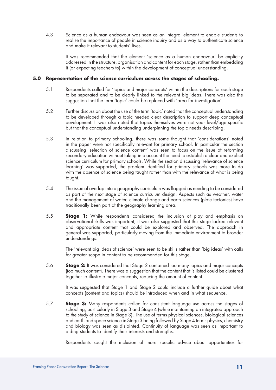4.3 Science as a human endeavour was seen as an integral element to enable students to realise the importance of people in science inquiry and as a way to authenticate science and make it relevant to students' lives.

 It was recommended that the element 'science as a human endeavour' be explicitly addressed in the structure, organisation and content for each stage, rather than embedding it (or expecting teachers to) within the development of conceptual understanding.

# **5.0 Representation of the science curriculum across the stages of schooling.**

- 5.1 Respondents called for 'topics and major concepts' within the descriptions for each stage to be separated and to be clearly linked to the relevant big ideas. There was also the suggestion that the term 'topic' could be replaced with 'area for investigation'.
- 5.2 Further discussion about the use of the term 'topic' noted that the conceptual understanding to be developed through a topic needed clear description to support deep conceptual development. It was also noted that topics themselves were not year level/age specific but that the conceptual understanding underpinning the topic needs describing.
- 5.3 In relation to primary schooling, there was some thought that 'considerations' noted in the paper were not specifically relevant for primary school. In particular the section discussing 'selection of science content' was seen to focus on the issue of reforming secondary education without taking into account the need to establish a clear and explicit science curriculum for primary schools. While the section discussing 'relevance of science learning' was supported, the problem identified for primary schools was more to do with the absence of science being taught rather than with the relevance of what is being taught.
- 5.4 The issue of overlap into a geography curriculum was flagged as needing to be considered as part of the next stage of science curriculum design. Aspects such as weather, water and the management of water, climate change and earth sciences (plate tectonics) have traditionally been part of the geography learning area.
- 5.5 **Stage 1:** While respondents considered the inclusion of play and emphasis on observational skills was important, it was also suggested that this stage lacked relevant and appropriate content that could be explored and observed. The approach in general was supported, particularly moving from the immediate environment to broader understandings.

 The 'relevant big ideas of science' were seen to be skills rather than 'big ideas' with calls for greater scope in content to be recommended for this stage.

5.6 **Stage 2:** It was considered that Stage 2 contained too many topics and major concepts (too much content). There was a suggestion that the content that is listed could be clustered together to illustrate major concepts, reducing the amount of content.

It was suggested that Stage 1 and Stage 2 could include a further guide about what concepts (content and topics) should be introduced when and in what sequence.

5.7 **Stage 3:** Many respondents called for consistent language use across the stages of schooling, particularly in Stage 3 and Stage 4 (while maintaining an integrated approach to the study of science in Stage 3). The use of terms physical sciences, biological sciences and earth and space science in Stage 3 being followed by Stage 4 terms physics, chemistry and biology was seen as disjointed. Continuity of language was seen as important to aiding students to identify their interests and strengths.

Respondents sought the inclusion of more specific advice about opportunities for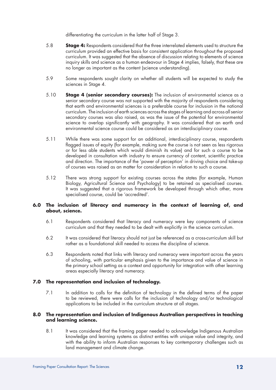differentiating the curriculum in the latter half of Stage 3.

- 5.8 **Stage 4:** Respondents considered that the three interrelated elements used to structure the curriculum provided an effective basis for consistent application throughout the proposed curriculum. It was suggested that the absence of discussion relating to elements of science inquiry skills and science as a human endeavour in Stage 4 implies, falsely, that these are no longer as important as the content (science understanding).
- 5.9 Some respondents sought clarity on whether all students will be expected to study the sciences in Stage 4.
- 5.10 **Stage 4 (senior secondary courses):** The inclusion of environmental science as a senior secondary course was not supported with the majority of respondents considering that earth and environmental sciences is a preferable course for inclusion in the national curriculum. The inclusion of earth sciences across the stages of learning and across all senior secondary courses was also raised, as was the issue of the potential for environmental science to overlap significantly with geography. It was considered that an earth and environmental science course could be considered as an interdisciplinary course.
- 5.11 While there was some support for an additional, interdisciplinary course, respondents flagged issues of equity (for example, making sure the course is not seen as less rigorous or for less able students which would diminish its value) and for such a course to be developed in consultation with industry to ensure currency of content, scientific practice and direction. The importance of the 'power of perception' in driving choice and take-up of courses was raised as an matter for consideration in relation to such a course.
- 5.12 There was strong support for existing courses across the states (for example, Human Biology, Agricultural Science and Psychology) to be retained as specialised courses. It was suggested that a rigorous framework be developed through which other, more specialised course, could be 'accredited'.

# **6.0 The inclusion of literacy and numeracy in the context of learning of, and about, science.**

- 6.1 Respondents considered that literacy and numeracy were key components of science curriculum and that they needed to be dealt with explicitly in the science curriculum.
- 6.2 It was considered that literacy should not just be referenced as a cross-curriculum skill but rather as a foundational skill needed to access the discipline of science.
- 6.3 Respondents noted that links with literacy and numeracy were important across the years of schooling, with particular emphasis given to the importance and value of science in the primary school setting as a context and opportunity for integration with other learning areas especially literacy and numeracy.

# **7.0 The representation and inclusion of technology.**

7.1 In addition to calls for the definition of technology in the defined terms of the paper to be reviewed, there were calls for the inclusion of technology and/or technological applications to be included in the curriculum structure at all stages.

## **8.0 The representation and inclusion of Indigenous Australian perspectives in teaching and learning science.**

8.1 It was considered that the framing paper needed to acknowledge Indigenous Australian knowledge and learning systems as distinct entities with unique value and integrity, and with the ability to inform Australian responses to key contemporary challenges such as land management and climate change.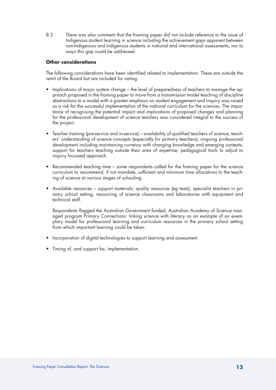8.2 There was also comment that the framing paper did not include reference to the issue of Indigenous student learning in science including the achievement gaps apparent between non-Indigenous and Indigenous students in national and international assessments, nor to ways this gap could be addressed.

# **Other considerations**

The following considerations have been identified related to implementation. These are outside the remit of the Board but are included for noting.

- Implications of major system change the level of preparedness of teachers to manage the approach proposed in the framing paper to move from a transmission model teaching of discipline abstractions to a model with a greater emphasis on student engagement and inquiry was raised as a risk for the successful implementation of the national curriculum for the sciences. The importance of recognising the potential impact and implications of proposed changes and planning for the professional development of science teachers was considered integral to the success of the project.
- Teacher training (pre-service and in-service) availability of qualified teachers of science; teachers' understanding of science concepts (especially for primary teachers); ongoing professional development including maintaining currency with changing knowledge and emerging contexts; support for teachers teaching outside their area of expertise; pedagogical tools to adjust to inquiry focussed approach.
- Recommended teaching time some respondents called for the framing paper for the science curriculum to recommend, if not mandate, sufficient and minimum time allocations to the teaching of science at various stages of schooling.
- Available resources support materials; quality resources (eg texts); specialist teachers in primary school setting; resourcing of science classrooms and laboratories with equipment and technical staff.

Respondents flagged the Australian Government funded, Australian Academy of Science managed program Primary Connections: linking science with literacy as an example of an exemplary model for professional learning and curriculum resources in the primary school setting from which important learning could be taken.

- Incorporation of digital technologies to support learning and assessment.
- Timing of, and support for, implementation.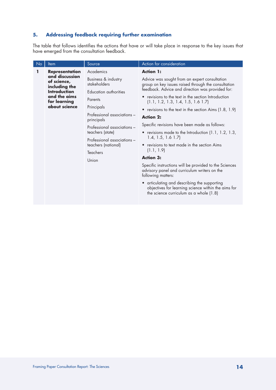# **5. Addressing feedback requiring further examination**

The table that follows identifies the actions that have or will take place in response to the key issues that have emerged from the consultation feedback.

| No                                            | Item                                           | Source                                                                                                | Action for consideration                                                                                                                         |
|-----------------------------------------------|------------------------------------------------|-------------------------------------------------------------------------------------------------------|--------------------------------------------------------------------------------------------------------------------------------------------------|
| 1                                             | <b>Representation</b>                          | Academics                                                                                             | <b>Action 1:</b>                                                                                                                                 |
|                                               | and discussion<br>of science,<br>including the | Business & industry<br>stakeholders                                                                   | Advice was sought from an expert consultation<br>group on key issues raised through the consultation                                             |
|                                               | <b>Introduction</b>                            | Education authorities<br>Parents                                                                      | feedback. Advice and direction was provided for:                                                                                                 |
| and the aims<br>for learning<br>about science |                                                |                                                                                                       | revisions to the text in the section Introduction<br>$\bullet$<br>(1.1, 1.2, 1.3, 1.4, 1.5, 1.6 1.7)                                             |
|                                               |                                                | Principals                                                                                            | • revisions to the text in the section Aims (1.8, 1.9)                                                                                           |
|                                               |                                                | Professional associations -<br>principals                                                             | <b>Action 2:</b>                                                                                                                                 |
|                                               |                                                | Professional associations -<br>teachers (state)<br>Professional associations -<br>teachers (national) | Specific revisions have been made as follows:                                                                                                    |
|                                               |                                                |                                                                                                       | • revisions made to the Introduction $(1.1, 1.2, 1.3, 1.3)$<br>$1.4, 1.5, 1.6$ $1.7$                                                             |
|                                               |                                                |                                                                                                       | • revisions to text made in the section Aims                                                                                                     |
|                                               |                                                | Teachers                                                                                              | (1.1, 1.9)                                                                                                                                       |
|                                               |                                                | Union                                                                                                 | <b>Action 3:</b>                                                                                                                                 |
|                                               |                                                |                                                                                                       | Specific instructions will be provided to the Sciences<br>advisory panel and curriculum writers on the<br>following matters:                     |
|                                               |                                                |                                                                                                       | • articulating and describing the supporting<br>objectives for learning science within the aims for<br>the science curriculum as a whole $(1.8)$ |
|                                               |                                                |                                                                                                       |                                                                                                                                                  |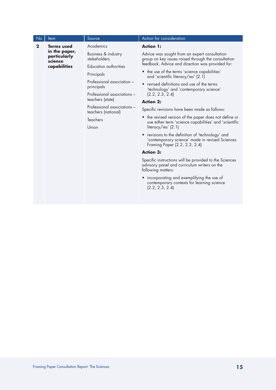| <b>No</b>    | Item                                     | Source                                             | Action for consideration                                                                                                              |
|--------------|------------------------------------------|----------------------------------------------------|---------------------------------------------------------------------------------------------------------------------------------------|
| $\mathbf{2}$ | <b>Terms used</b>                        | Academics                                          | <b>Action 1:</b>                                                                                                                      |
|              | in the paper,<br>particularly<br>science | Business & industry<br>stakeholders                | Advice was sought from an expert consultation<br>group on key issues raised through the consultation                                  |
|              | capabilities                             | Education authorities                              | feedback. Advice and direction was provided for:                                                                                      |
|              |                                          | Principals                                         | • the use of the terms 'science capabilities'<br>and 'scientific literacy/ies' (2.1)                                                  |
|              |                                          | Professional association -<br>principals           | revised definitions and use of the terms<br>$\bullet$<br>'technology' and 'contemporary science'                                      |
|              |                                          | Professional associations -                        | (2.2, 2.3, 2.4)                                                                                                                       |
|              |                                          | teachers (state)                                   | <b>Action 2:</b>                                                                                                                      |
|              |                                          | Professional associations -<br>teachers (national) | Specific revisions have been made as follows:                                                                                         |
|              |                                          | <b>Teachers</b>                                    | • the revised version of the paper does not define or<br>use either term 'science capabilities' and 'scientific                       |
|              |                                          | Union                                              | literacy/ies' (2.1)                                                                                                                   |
|              |                                          |                                                    | • revisions to the definition of 'technology' and<br>'contemporary science' made in revised Sciences<br>Framing Paper (2.2, 2.3, 2.4) |
|              |                                          |                                                    | <b>Action 3:</b>                                                                                                                      |
|              |                                          |                                                    | Specific instructions will be provided to the Sciences<br>advisory panel and curriculum writers on the<br>following matters:          |
|              |                                          |                                                    | • incorporating and exemplifying the use of<br>contemporary contexts for learning science<br>(2.2, 2.3, 2.4)                          |
|              |                                          |                                                    |                                                                                                                                       |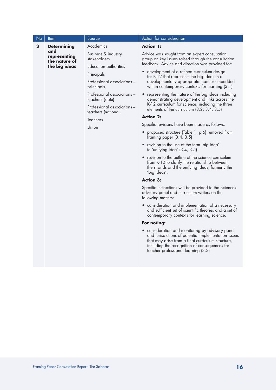| N <sub>o</sub> | Item                          | Source                                                                                                                                                                                                         | Action for consideration                                                                                                                                                                                                                                                                                                                                                                                                                                                                                                                                                                                                                                                                                                                                                                                                                                                                                                                                                                                                                                                                                                                                                                                                                                                                                                                                                                                                                                                    |
|----------------|-------------------------------|----------------------------------------------------------------------------------------------------------------------------------------------------------------------------------------------------------------|-----------------------------------------------------------------------------------------------------------------------------------------------------------------------------------------------------------------------------------------------------------------------------------------------------------------------------------------------------------------------------------------------------------------------------------------------------------------------------------------------------------------------------------------------------------------------------------------------------------------------------------------------------------------------------------------------------------------------------------------------------------------------------------------------------------------------------------------------------------------------------------------------------------------------------------------------------------------------------------------------------------------------------------------------------------------------------------------------------------------------------------------------------------------------------------------------------------------------------------------------------------------------------------------------------------------------------------------------------------------------------------------------------------------------------------------------------------------------------|
| 3              | <b>Determining</b><br>and     | Academics                                                                                                                                                                                                      | <b>Action 1:</b>                                                                                                                                                                                                                                                                                                                                                                                                                                                                                                                                                                                                                                                                                                                                                                                                                                                                                                                                                                                                                                                                                                                                                                                                                                                                                                                                                                                                                                                            |
|                | representing<br>the nature of | Business & industry<br>stakeholders                                                                                                                                                                            | Advice was sought from an expert consultation<br>group on key issues raised through the consultation                                                                                                                                                                                                                                                                                                                                                                                                                                                                                                                                                                                                                                                                                                                                                                                                                                                                                                                                                                                                                                                                                                                                                                                                                                                                                                                                                                        |
|                | the big ideas                 | Education authorities<br>Principals<br>Professional associations -<br>principals<br>Professional associations -<br>teachers (state)<br>Professional associations -<br>teachers (national)<br>Teachers<br>Union | feedback. Advice and direction was provided for:<br>• development of a refined curriculum design<br>for K-12 that represents the big ideas in a<br>developmentally appropriate manner embedded<br>within contemporary contexts for learning (3.1)<br>• representing the nature of the big ideas including<br>demonstrating development and links across the<br>K-12 curriculum for science, including the three<br>elements of the curriculum $(3.2, 3.4, 3.5)$<br><b>Action 2:</b><br>Specific revisions have been made as follows:<br>proposed structure (Table 1, p.6) removed from<br>framing paper $(3.4, 3.5)$<br>• revision to the use of the term 'big idea'<br>to 'unifying idea' (3.4, 3.5)<br>• revision to the outline of the science curriculum<br>from K-10 to clarify the relationship between<br>the strands and the unifying ideas, formerly the<br>'big ideas'.<br><b>Action 3:</b><br>Specific instructions will be provided to the Sciences<br>advisory panel and curriculum writers on the<br>following matters:<br>• consideration and implementation of a necessary<br>and sufficient set of scientific theories and a set of<br>contemporary contexts for learning science.<br>For noting:<br>• consideration and monitoring by advisory panel<br>and jurisdictions of potential implementation issues<br>that may arise from a final curriculum structure,<br>including the recognition of consequences for<br>teacher professional learning (3.3) |
|                |                               |                                                                                                                                                                                                                |                                                                                                                                                                                                                                                                                                                                                                                                                                                                                                                                                                                                                                                                                                                                                                                                                                                                                                                                                                                                                                                                                                                                                                                                                                                                                                                                                                                                                                                                             |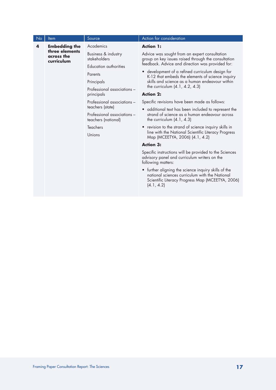| <b>No</b> | Item                                                               | Source                                             | Action for consideration                                                                                                                                                 |
|-----------|--------------------------------------------------------------------|----------------------------------------------------|--------------------------------------------------------------------------------------------------------------------------------------------------------------------------|
| 4         | <b>Embedding the</b><br>three elements<br>across the<br>curriculum | Academics                                          | <b>Action 1:</b>                                                                                                                                                         |
|           |                                                                    | Business & industry<br>stakeholders                | Advice was sought from an expert consultation<br>group on key issues raised through the consultation                                                                     |
|           |                                                                    | Education authorities                              | feedback. Advice and direction was provided for:                                                                                                                         |
|           |                                                                    | Parents                                            | • development of a refined curriculum design for<br>K-12 that embeds the elements of science inquiry                                                                     |
|           |                                                                    | Principals                                         | skills and science as a human endeavour within                                                                                                                           |
|           |                                                                    | Professional associations -                        | the curriculum (4.1, 4.2, 4.3)                                                                                                                                           |
|           |                                                                    | principals                                         | <b>Action 2:</b>                                                                                                                                                         |
|           |                                                                    | Professional associations -                        | Specific revisions have been made as follows:                                                                                                                            |
|           |                                                                    | teachers (state)                                   | • additional text has been included to represent the                                                                                                                     |
|           |                                                                    | Professional associations -<br>teachers (national) | strand of science as a human endeavour across<br>the curriculum $(4.1, 4.3)$                                                                                             |
|           |                                                                    | <b>Teachers</b>                                    | • revision to the strand of science inquiry skills in                                                                                                                    |
|           |                                                                    | Unions                                             | line with the National Scientific Literacy Progress<br>Map (MCEETYA, 2006) (4.1, 4.2)                                                                                    |
|           |                                                                    |                                                    | <b>Action 3:</b>                                                                                                                                                         |
|           |                                                                    |                                                    | Specific instructions will be provided to the Sciences<br>advisory panel and curriculum writers on the<br>following matters:                                             |
|           |                                                                    |                                                    | • further aligning the science inquiry skills of the<br>national sciences curriculum with the National<br>Scientific Literacy Progress Map (MCEETYA, 2006)<br>(4.1, 4.2) |
|           |                                                                    |                                                    |                                                                                                                                                                          |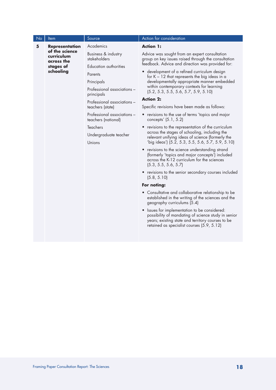| No | Item                                       | Source                                             | <b>Action</b> for consideration                                                                                                                                                                       |
|----|--------------------------------------------|----------------------------------------------------|-------------------------------------------------------------------------------------------------------------------------------------------------------------------------------------------------------|
| 5  | <b>Representation</b>                      | Academics                                          | <b>Action 1:</b>                                                                                                                                                                                      |
|    | of the science<br>curriculum<br>across the | Business & industry<br>stakeholders                | Advice was sought from an expert consultation<br>group on key issues raised through the consultation                                                                                                  |
|    | stages of                                  | Education authorities                              | feedback. Advice and direction was provided for:                                                                                                                                                      |
|    | schooling                                  | Parents                                            | • development of a refined curriculum design<br>for $K - 12$ that represents the big ideas in a                                                                                                       |
|    |                                            | Principals                                         | developmentally appropriate manner embedded                                                                                                                                                           |
|    |                                            | Professional associations -<br>principals          | within contemporary contexts for learning<br>(5.2, 5.3, 5.5, 5.6, 5.7, 5.9, 5.10)                                                                                                                     |
|    |                                            | Professional associations -                        | <b>Action 2:</b>                                                                                                                                                                                      |
|    |                                            | teachers (state)                                   | Specific revisions have been made as follows:                                                                                                                                                         |
|    |                                            | Professional associations -<br>teachers (national) | • revisions to the use of terms 'topics and major<br>concepts' (5.1, 5.2)                                                                                                                             |
|    |                                            | <b>Teachers</b>                                    | revisions to the representation of the curriculum                                                                                                                                                     |
|    |                                            | Undergraduate teacher<br>Unions                    | across the stages of schooling, including the<br>relevant unifying ideas of science (formerly the<br>'big ideas') (5.2, 5.3, 5.5, 5.6, 5.7, 5.9, 5.10)                                                |
|    |                                            |                                                    | • revisions to the science understanding strand<br>(formerly 'topics and major concepts') included<br>across the K-12 curriculum for the sciences<br>(5.3, 5.5, 5.6, 5.7)                             |
|    |                                            |                                                    | • revisions to the senior secondary courses included<br>(5.8, 5.10)                                                                                                                                   |
|    |                                            |                                                    | For noting:                                                                                                                                                                                           |
|    |                                            |                                                    | • Consultative and collaborative relationship to be<br>established in the writing of the sciences and the<br>geography curriculums (5.4)                                                              |
|    |                                            |                                                    | Issues for implementation to be considered:<br>possibility of mandating of science study in senior<br>years; existing state and territory courses to be<br>retained as specialist courses (5.9, 5.12) |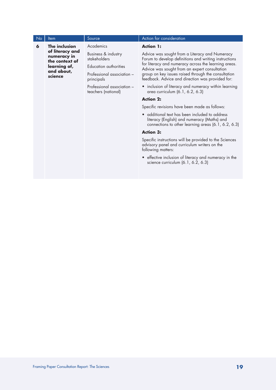| No | Item                                                              | Source                                            | Action for consideration                                                                                                                             |
|----|-------------------------------------------------------------------|---------------------------------------------------|------------------------------------------------------------------------------------------------------------------------------------------------------|
| 6  | The inclusion<br>of literacy and<br>numeracy in<br>the context of | Academics                                         | <b>Action 1:</b>                                                                                                                                     |
|    |                                                                   | Business & industry<br>stakeholders               | Advice was sought from a Literacy and Numeracy<br>Forum to develop definitions and writing instructions                                              |
|    | learning of,                                                      | Education authorities                             | for literacy and numeracy across the learning areas.<br>Advice was sought from an expert consultation                                                |
|    | and about,<br>science                                             | Professional association -<br>principals          | group on key issues raised through the consultation<br>feedback. Advice and direction was provided for:                                              |
|    |                                                                   | Professional association -<br>teachers (national) | • inclusion of literacy and numeracy within learning<br>area curriculum (6.1, 6.2, 6.3)                                                              |
|    |                                                                   |                                                   | <b>Action 2:</b>                                                                                                                                     |
|    |                                                                   |                                                   | Specific revisions have been made as follows:                                                                                                        |
|    |                                                                   |                                                   | • additional text has been included to address<br>literacy (English) and numeracy (Maths) and<br>connections to other learning areas (6.1, 6.2, 6.3) |
|    |                                                                   |                                                   | <b>Action 3:</b>                                                                                                                                     |
|    |                                                                   |                                                   | Specific instructions will be provided to the Sciences<br>advisory panel and curriculum writers on the<br>following matters:                         |
|    |                                                                   |                                                   | • effective inclusion of literacy and numeracy in the<br>science curriculum (6.1, 6.2, 6.3)                                                          |
|    |                                                                   |                                                   |                                                                                                                                                      |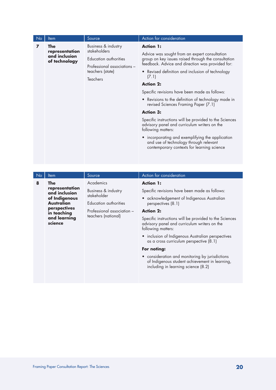| No.            | Item                                                    | Source                                                                                                                      | <b>Action</b> for consideration                                                                                                                                                                                                                                                                                                                                                                                                                                                                                                                                                                                                                                                                               |
|----------------|---------------------------------------------------------|-----------------------------------------------------------------------------------------------------------------------------|---------------------------------------------------------------------------------------------------------------------------------------------------------------------------------------------------------------------------------------------------------------------------------------------------------------------------------------------------------------------------------------------------------------------------------------------------------------------------------------------------------------------------------------------------------------------------------------------------------------------------------------------------------------------------------------------------------------|
| $\overline{ }$ | The<br>representation<br>and inclusion<br>of technology | Business & industry<br>stakeholders<br>Education authorities<br>Professional associations -<br>teachers (state)<br>Teachers | <b>Action 1:</b><br>Advice was sought from an expert consultation<br>group on key issues raised through the consultation<br>feedback. Advice and direction was provided for:<br>• Revised definition and inclusion of technology<br>(7.1)<br><b>Action 2:</b><br>Specific revisions have been made as follows:<br>• Revisions to the definition of technology made in<br>revised Sciences Framing Paper (7.1)<br><b>Action 3:</b><br>Specific instructions will be provided to the Sciences<br>advisory panel and curriculum writers on the<br>following matters:<br>• incorporating and exemplifying the application<br>and use of technology through relevant<br>contemporary contexts for learning science |

| No | <b>Item</b>                                      | Source                             | Action for consideration                                                                                                                 |
|----|--------------------------------------------------|------------------------------------|------------------------------------------------------------------------------------------------------------------------------------------|
| 8  | <b>The</b>                                       | Academics                          | <b>Action 1:</b>                                                                                                                         |
|    | representation<br>and inclusion<br>of Indigenous | Business & industry<br>stakeholder | Specific revisions have been made as follows:<br>• acknowledgement of Indigenous Australian                                              |
|    | Australian                                       | Education authorities              | perspectives (8.1)                                                                                                                       |
|    | perspectives<br>in teaching                      | Professional association –         | <b>Action 2:</b>                                                                                                                         |
|    | and learning<br>science                          | teachers (national)                | Specific instructions will be provided to the Sciences<br>advisory panel and curriculum writers on the<br>following matters:             |
|    |                                                  |                                    | • inclusion of Indigenous Australian perspectives<br>as a cross curriculum perspective (8.1)                                             |
|    |                                                  |                                    | For noting:                                                                                                                              |
|    |                                                  |                                    | • consideration and monitoring by jurisdictions<br>of Indigenous student achievement in learning,<br>including in learning science (8.2) |
|    |                                                  |                                    |                                                                                                                                          |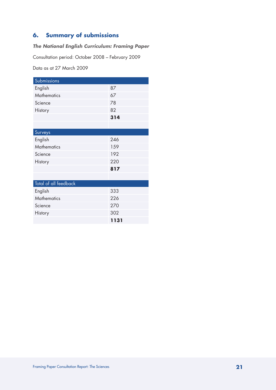# **6. Summary of submissions**

# *The National English Curriculum: Framing Paper*

Consultation period: October 2008 – February 2009

Data as at 27 March 2009

| Submissions           |      |
|-----------------------|------|
| English               | 87   |
| <b>Mathematics</b>    | 67   |
| Science               | 78   |
| History               | 82   |
|                       | 314  |
|                       |      |
| Surveys               |      |
| English               | 246  |
| <b>Mathematics</b>    | 159  |
| Science               | 192  |
| <b>History</b>        | 220  |
|                       | 817  |
|                       |      |
| Total of all feedback |      |
| English               | 333  |
| <b>Mathematics</b>    | 226  |
| Science               | 270  |
| History               | 302  |
|                       | 1131 |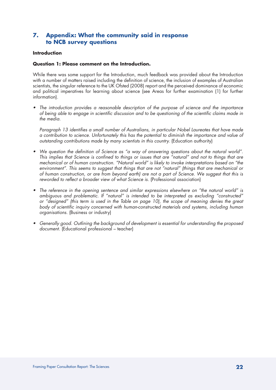# **7. Appendix: What the community said in response to NCB survey questions**

# **Introduction**

# **Question 1: Please comment on the Introduction.**

While there was some support for the Introduction, much feedback was provided about the Introduction with a number of matters raised including the definition of science, the inclusion of examples of Australian scientists, the singular reference to the UK Ofsted (2008) report and the perceived dominance of economic and political imperatives for learning about science (see Areas for further examination (1) for further information).

• The introduction provides a reasonable description of the purpose of science and the importance of being able to engage in scientific discussion and to be questioning of the scientific claims made in the media.

 Paragraph 13 identifies a small number of Australians, in particular Nobel Laureates that have made a contribution to science. Unfortunately this has the potential to diminish the importance and value of outstanding contributions made by many scientists in this country. (Education authority)

- We question the definition of Science as "a way of answering questions about the natural world". This implies that Science is confined to things or issues that are "natural" and not to things that are mechanical or of human construction. "Natural world" is likely to invoke interpretations based on "the environment". This seems to suggest that things that are not "natural" (things that are mechanical or of human construction, or are from beyond earth) are not a part of Science. We suggest that this is reworded to reflect a broader view of what Science is. (Professional association)
- The reference in the opening sentence and similar expressions elsewhere on "the natural world" is ambiguous and problematic. If "natural" is intended to be interpreted as excluding "constructed" or "designed" (this term is used in the Table on page 10), the scope of meaning denies the great body of scientific inquiry concerned with human-constructed materials and systems, including human *organisations.* (Business or industry)
- Generally good. Outlining the background of development is essential for understanding the proposed document. (Educational professional – teacher)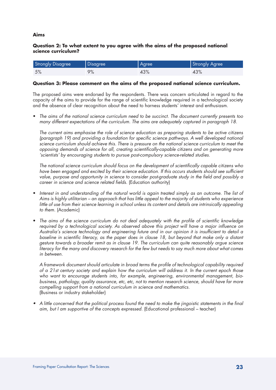#### **Aims**

# **Question 2: To what extent to you agree with the aims of the proposed national science curriculum?**

| <b>Strongly Disagree</b> | Disagree | Agree | Strongly Agree |
|--------------------------|----------|-------|----------------|
| 5%                       | 9%       | 43%   | 43%            |

#### **Question 3: Please comment on the aims of the proposed national science curriculum.**

The proposed aims were endorsed by the respondents. There was concern articulated in regard to the capacity of the aims to provide for the range of scientific knowledge required in a technological society and the absence of clear recognition about the need to harness students' interest and enthusiasm.

The aims of the national science curriculum need to be succinct. The document currently presents too many different expectations of the curriculum. The aims are adequately captured in paragraph 18.

 The current aims emphasise the role of science education as preparing students to be active citizens (paragraph 19) and providing a foundation for specific science pathways. A well developed national science curriculum should achieve this. There is pressure on the national science curriculum to meet the opposing demands of science for all, creating scientifically-capable citizens and on generating more 'scientists' by encouraging students to pursue post-compulsory science-related studies.

 The national science curriculum should focus on the development of scientifically capable citizens who have been engaged and excited by their science education. If this occurs students should see sufficient value, purpose and opportunity in science to consider post-graduate study in the field and possibly a career in science and science related fields. (Education authority)

- Interest in and understanding of the natural world is again treated simply as an outcome. The list of Aims is highly utilitarian – an approach that has little appeal to the majority of students who experience little of use from their science learning in school unless its content and details are intrinsically appealing *to them.* (Academic)
- The aims of the science curriculum do not deal adequately with the profile of scientific knowledge required by a technological society. As observed above this project will have a major influence on Australia's science technology and engineering future and in our opinion it is insufficient to detail a baseline in scientific literacy, as the paper does in clause 18, but beyond that make only a distant gesture towards a broader remit as in clause 19. The curriculum can quite reasonably argue science literacy for the many and discovery research for the few but needs to say much more about what comes in between.

 A framework document should articulate in broad terms the profile of technological capability required of a 21st century society and explain how the curriculum will address it. In the current epoch those who want to encourage students into, for example, engineering, environmental management, biobusiness, pathology, quality assurance, etc, etc, not to mention research science, should have far more compelling support from a national curriculum in science and mathematics. (Business or industry stakeholder)

• A little concerned that the political process found the need to make the jingoistic statements in the final aim, but I am supportive of the concepts expressed. (Educational professional – teacher)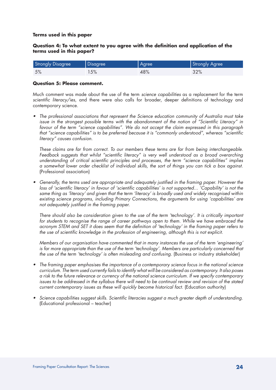#### **Terms used in this paper**

# **Question 4: To what extent to you agree with the definition and application of the terms used in this paper?**

| <b>Strongly Disagree</b> | Disagree | Agree | Strongly Agree |
|--------------------------|----------|-------|----------------|
| 5%                       | 15%      | 48%   | 32%            |

#### **Question 5: Please comment.**

Much comment was made about the use of the term *science capabilities* as a replacement for the term *scientific literacy/ies*, and there were also calls for broader, deeper definitions of technology and contemporary science.

• The professional associations that represent the Science education community of Australia must take issue in the strongest possible terms with the abandonment of the notion of "Scientific Literacy" in favour of the term "science capabilities". We do not accept the claim expressed in this paragraph that "science capabilities" is to be preferred because it is "commonly understood", whereas "scientific literacy" causes confusion.

 These claims are far from correct. To our members these terms are far from being interchangeable. Feedback suggests that whilst "scientific literacy" is very well understood as a broad overarching understanding of critical scientific principles and processes, the term "science capabilities" implies a somewhat lower order checklist of individual skills, the sort of things you can tick a box against. (Professional association)

• Generally, the terms used are appropriate and adequately justified in the framing paper. However the loss of 'scientific literacy' in favour of 'scientific capabilities' is not supported... 'Capability' is not the same thing as 'literacy' and given that the term 'literacy' is broadly used and widely recognised within existing science programs, including Primary Connections, the arguments for using 'capabilities' are not adequately justified in the framing paper.

 There should also be consideration given to the use of the term 'technology'. It is critically important for students to recognise the range of career pathways open to them. While we have embraced the acronym STEM and SET it does seem that the definition of 'technology' in the framing paper refers to the use of scientific knowledge in the profession of engineering, although this is not explicit.

 Members of our organisation have commented that in many instances the use of the term 'engineering' is far more appropriate than the use of the term 'technology'. Members are particularly concerned that the use of the term 'technology' is often misleading and confusing. (Business or industry stakeholder)

- The framing paper emphasises the importance of a contemporary science focus in the national science curriculum. The term used currently fails to identify what will be considered as contemporary. It also poses a risk to the future relevance or currency of the national science curriculum. If we specify contemporary issues to be addressed in the syllabus there will need to be continual review and revision of the stated current contemporary issues as these will quickly become historical fact. (Education authority)
- • Science capabilities suggest skills. Scientific literacies suggest a much greater depth of understanding. (Educational professional – teacher)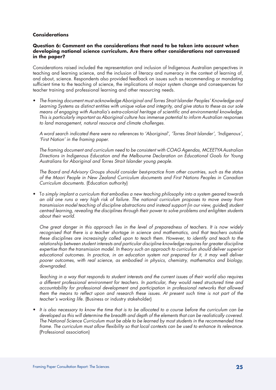## **Considerations**

# **Question 6: Comment on the considerations that need to be taken into account when developing national science curriculum. Are there other considerations not canvassed in the paper?**

Considerations raised included the representation and inclusion of Indigenous Australian perspectives in teaching and learning science, and the inclusion of literacy and numeracy in the context of learning of, and about, science. Respondents also provided feedback on issues such as recommending or mandating sufficient time to the teaching of science, the implications of major system change and consequences for teacher training and professional learning and other resourcing needs.

The framing document must acknowledge Aboriginal and Torres Strait Islander Peoples' Knowledge and Learning Systems as distinct entities with unique value and integrity, and give status to these as our sole means of engaging with Australia's extra-colonial heritage of scientific and environmental knowledge. This is particularly important as Aboriginal culture has immense potential to inform Australian responses to land management, natural resource and climate challenges.

 A word search indicated there were no references to 'Aboriginal', 'Torres Strait Islander', 'Indigenous', 'First Nation' in the framing paper.

The framing document and curriculum need to be consistent with COAG Agendas, MCEETYA Australian Directions in Indigenous Education and the Melbourne Declaration on Educational Goals for Young Australians for Aboriginal and Torres Strait Islander young people.

 The Board and Advisory Groups should consider best-practice from other countries, such as the status of the Maori People in New Zealand Curriculum documents and First Nations Peoples in Canadian Curriculum documents. (Education authority)

To simply implant a curriculum that embodies a new teaching philosophy into a system geared towards an old one runs a very high risk of failure. The national curriculum proposes to move away from transmission model teaching of discipline abstractions and instead support (in our view, guided) student centred learning, revealing the disciplines through their power to solve problems and enlighten students about their world.

 One great danger in this approach lies in the level of preparedness of teachers. It is now widely recognised that there is a teacher shortage in science and mathematics, and that teachers outside these disciplines are increasingly called upon to teach them. However, to identify and teach to the relationship between student interests and particular discipline knowledge requires far greater discipline expertise than the transmission model. In theory such an approach to curriculum should deliver superior educational outcomes. In practice, in an education system not prepared for it, it may well deliver poorer outcomes, with real science, as embodied in physics, chemistry, mathematics and biology, downgraded.

 Teaching in a way that responds to student interests and the current issues of their world also requires a different professional environment for teachers. In particular, they would need structured time and accountability for professional development and participation in professional networks that allowed them the means to reflect upon and research these issues. At present such time is not part of the teacher's working life. (Business or industry stakeholder)

It is also necessary to know the time that is to be allocated to a course before the curriculum can be developed as this will determine the breadth and depth of the elements that can be realistically covered. The National Science Curriculum must be able to be learned by most students in the recommended time frame. The curriculum must allow flexibility so that local contexts can be used to enhance its relevance. (Professional association)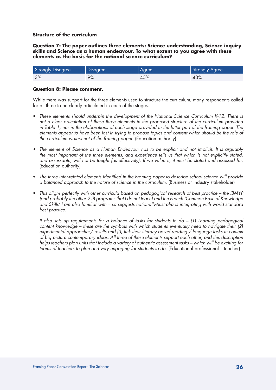# **Question 7: The paper outlines three elements: Science understanding, Science inquiry skills and Science as a human endeavour. To what extent to you agree with these elements as the basis for the national science curriculum?**

| <b>Strongly Disagree</b> | Disagree | Agree | Strongly Agree |
|--------------------------|----------|-------|----------------|
| 3%                       | 9%       | 45%   | 43%            |

# **Question 8: Please comment.**

While there was support for the three elements used to structure the curriculum, many respondents called for all three to be clearly articulated in each of the stages.

- These elements should underpin the development of the National Science Curriculum K-12. There is not a clear articulation of these three elements in the proposed structure of the curriculum provided in Table 1, nor in the elaborations of each stage provided in the latter part of the framing paper. The elements appear to have been lost in trying to propose topics and content which should be the role of the curriculum writers not of the framing paper. (Education authority)
- The element of Science as a Human Endeavour has to be explicit and not implicit. It is arguably the most important of the three elements, and experience tells us that which is not explicitly stated, and assessable, will not be taught (as effectively). If we value it, it must be stated and assessed for. (Education authority)
- • The three inter-related elements identified in the Framing paper to describe school science will provide a balanced approach to the nature of science in the curriculum. (Business or industry stakeholder)
- This aligns perfectly with other curricula based on pedagogical research of best practice the IBMYP (and probably the other 2 IB programs that I do not teach) and the French 'Common Base of Knowledge and Skills' I am also familiar with – so suggests nationallyAustralia is integrating with world standard *best practice.*

 It also sets up requirements for a balance of tasks for students to do – (1) Learning pedagogical content knowledge – these are the symbols with which students eventually need to navigate their (2) experimental approaches/ results and (3) link their literacy based reading / language tasks in context of big picture contemporary ideas. All three of these elements support each other, and this description helps teachers plan units that include a variety of authentic assessment tasks – which will be exciting for teams of teachers to plan and very engaging for students to do. (Educational professional – teacher)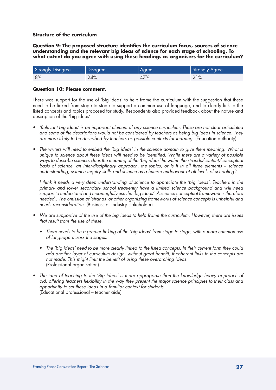**Question 9: The proposed structure identifies the curriculum focus, sources of science understanding and the relevant big ideas of science for each stage of schooling. To what extent do you agree with using these headings as organisers for the curriculum?**

| <b>Strongly Disagree</b> | <b>Disagree</b> | Agree | Strongly Agree |
|--------------------------|-----------------|-------|----------------|
| 8%                       | 24%             | 47%   | 21%            |

# **Question 10: Please comment.**

There was support for the use of 'big ideas' to help frame the curriculum with the suggestion that these need to be linked from stage to stage to support a common use of language, and to clearly link to the listed concepts and topics proposed for study. Respondents also provided feedback about the nature and description of the 'big ideas'.

- • 'Relevant big ideas' is an important element of any science curriculum. These are not clear articulated and some of the descriptions would not be considered by teachers as being big ideas in science. They are more likely to be described by teachers as possible contexts for learning. (Education authority)
- The writers will need to embed the 'big ideas' in the science domain to give them meaning. What is unique to science about these ideas will need to be identified. While there are a variety of possible ways to describe science, does the meaning of the 'big ideas' lie within the strands/content/conceptual basis of science, an inter-disciplinary approach, the topics, or is it in all three elements – science understanding, science inquiry skills and science as a human endeavour at all levels of schooling?

 I think it needs a very deep understanding of science to appreciate the 'big ideas'. Teachers in the primary and lower secondary school frequently have a limited science background and will need support to understand and meaningfully use the 'big ideas'. A science conceptual framework is therefore needed...The omission of 'strands' or other organizing frameworks of science concepts is unhelpful and needs reconsideration. (Business or industry stakeholder)

- We are supportive of the use of the big ideas to help frame the curriculum. However, there are issues that result from the use of these.
	- There needs to be a greater linking of the 'big ideas' from stage to stage, with a more common use of language across the stages.
	- • The 'big ideas' need to be more clearly linked to the listed concepts. In their current form they could add another layer of curriculum design, without great benefit, if coherent links to the concepts are not made. This might limit the benefit of using these overarching ideas. (Professional organisation)
- The idea of teaching to the 'Big Ideas' is more appropriate than the knowledge heavy approach of old, offering teachers flexibility in the way they present the major science principles to their class and opportunity to set these ideas in a familiar context for students. (Educational professional – teacher aide)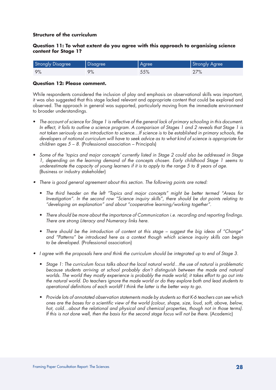# **Question 11: To what extent do you agree with this approach to organising science content for Stage 1?**

| <b>Strongly Disagree</b> | Disagree | Agree | Strongly Agree |
|--------------------------|----------|-------|----------------|
| 9%                       | 9%       | 55%   | 27%            |

# **Question 12: Please comment.**

While respondents considered the inclusion of play and emphasis on observational skills was important, it was also suggested that this stage lacked relevant and appropriate content that could be explored and observed. The approach in general was supported, particularly moving from the immediate environment to broader understandings.

- The account of science for Stage 1 is reflective of the general lack of primary schooling in this document. In effect, it fails to outline a science program. A comparison of Stages 1 and 2 reveals that Stage 1 is not taken seriously as an introduction to science…If science is to be established in primary schools, the developers of national curriculum will have to seek advice as to what kind of science is appropriate for children ages  $5 - 8$ . (Professional association – Principals)
- • Some of the 'topics and major concepts' currently listed in Stage 2 could also be addressed in Stage 1, depending on the learning demand of the concepts chosen. Early childhood Stage 1 seems to underestimate the capacity of young learners if it is to apply to the range 5 to 8 years of age. (Business or industry stakeholder)
- There is good general agreement about this section. The following points are noted:
	- The third header on the left "Topics and major concepts" might be better termed "Areas for Investigation". In the second row "Science inquiry skills", there should be dot points relating to "developing an explanation" and about "cooperative learning/working together".
	- There should be more about the importance of Communication i.e. recording and reporting findings. There are strong Literacy and Numeracy links here.
	- There should be the introduction of content at this stage suggest the big ideas of "Change" and "Patterns" be introduced here as a context though which science inquiry skills can begin to be developed. (Professional association)
- • I agree with the proposals here and think the curriculum should be integrated up to end of Stage 3.
	- Stage 1: The curriculum focus talks about the local natural world...the use of natural is problematic because students arriving at school probably don't distinguish between the made and natural worlds. The world they mostly experience is probably the made world; it takes effort to go out into the natural world. Do teachers ignore the made world or do they explore both and lead students to operational definitions of each world? I think the latter is the better way to go.
	- • Provide lots of annotated observation statements made by students so that K-6 teachers can see which ones are the bases for a scientific view of the world (colour, shape, size, loud, soft, above, below, hot, cold...about the relational and physical and chemical properties, though not in those terms). If this is not done well, then the basis for the second stage focus will not be there. (Academic)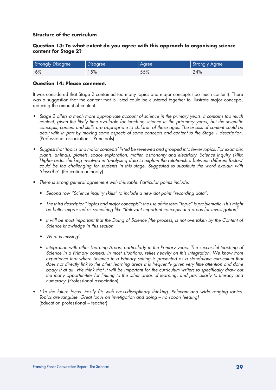# **Question 13: To what extent do you agree with this approach to organising science content for Stage 2?**

| <b>Strongly Disagree</b> | Disagree | Agree | Strongly Agree |
|--------------------------|----------|-------|----------------|
| 6%                       | 15%      | 55%   | 24%            |

# **Question 14: Please comment.**

It was considered that Stage 2 contained too many topics and major concepts (too much content). There was a suggestion that the content that is listed could be clustered together to illustrate major concepts, reducing the amount of content.

- Stage 2 offers a much more appropriate account of science in the primary yeats. It contains too much content, given the likely time available for teaching science in the priamary years, but the scientific concepts, content and skills are appropriate to children of these ages. The escess of content could be dealt with in part by moving some aspects of some concepts and content to the Stage 1 description. (Professional association – Principals)
- Suggest that 'topics and major concepts' listed be reviewed and grouped into fewer topics. For example: plants, animals, planets, space exploration, matter, astronomy and electricity. Science inquiry skills: Higher-order thinking involved in 'analysing data to explain the relationship between different factors' could be too challenging for students in this stage. Suggested to substitute the word explain with 'describe'. (Education authority)
- There is strong general agreement with this table. Particular points include:
	- Second row "Science inquiry skills" to include a new dot point "recording data".
	- • The third descriptor "Topics and major concepts": the use of the term "topic" is problematic. This might be better expressed as something like "Relevant important concepts and areas for investigation".
	- It will be most important that the Doing of Science (the process) is not overtaken by the Content of Science knowledge in this section.
	- What is missing?
	- Integration with other Learning Areas, particularly in the Primary years. The successful teaching of Science in a Primary context, in most situations, relies heavily on this integration. We know from experience that where Science in a Primary setting is presented as a standalone curriculum that does not directly link to the other learning areas it is frequently given very little attention and done badly if at all. We think that it will be important for the curriculum writers to specifically draw out the many opportunities for linking to the other areas of learning, and particularly to literacy and numeracy. (Professional association)
- Like the future focus. Easily fits with cross-disciplinary thinking. Relevant and wide ranging topics. Topics are tangible. Great focus on invetigation and doing – no spoon feeding! (Education professional – teacher)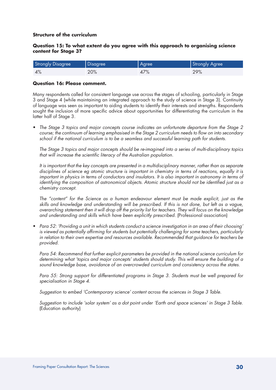# **Question 15: To what extent do you agree with this approach to organising science content for Stage 3?**

| <b>Strongly Disagree</b> | Disagree | Agree | Strongly Agree |
|--------------------------|----------|-------|----------------|
| 4%                       | 20%      | 47%   | 29%            |

#### **Question 16: Please comment.**

Many respondents called for consistent language use across the stages of schooling, particularly in Stage 3 and Stage 4 (while maintaining an integrated approach to the study of science in Stage 3). Continuity of language was seen as important to aiding students to identify their interests and strengths. Respondents sought the inclusion of more specific advice about opportunities for differentiating the curriculum in the latter half of Stage 3.

• The Stage 3 topics and major concepts course indicates an unfortunate departure from the Stage 2 course; the continuum of learning emphasised in the Stage 2 curriculum needs to flow on into secondary school if the national curriculum is to be a seamless and successful learning path for students.

 The Stage 3 topics and major concepts should be re-imagined into a series of multi-disciplinary topics that will increase the scientific literacy of the Australian population.

 It is important that the key concepts are presented in a multidisciplinary manner, rather than as separate disciplines of science eg atomic structure is important in chemistry in terms of reactions, equally it is important in physics in terms of conductors and insulators. It is also important in astronomy in terms of identifying the composition of astronomical objects. Atomic structure should not be identified just as a *chemistry concept.* 

 The "content" for the Science as a human endeavour element must be made explicit, just as the skills and knowledge and understanding will be prescribed. If this is not done, but left as a vague, overarching statement then it will drop off the priority list for teachers. They will focus on the knowledge and understanding and skills which have been explicitly prescribed. (Professional association)

Para 52: 'Providina a unit in which students conduct a science investigation in an area of their choosing' is viewed as potentially affirming for students but potentially challenging for some teachers, particularly in relation to their own expertise and resources available. Recommended that guidance for teachers be provided.

 Para 54: Recommend that further explicit parameters be provided in the national science curriculum for determining what 'topics and major concepts' students should study. This will ensure the building of a sound knowledge base, avoidance of an overcrowded curriculum and consistency across the states.

 Para 55: Strong support for differentiated programs in Stage 3. Students must be well prepared for specialisation in Stage 4.

 Suggestion to embed 'Contemporary science' content across the sciences in Stage 3 Table.

 Suggestion to include 'solar system' as a dot point under 'Earth and space sciences' in Stage 3 Table. (Education authority)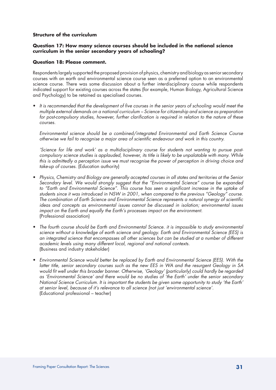# **Question 17: How many science courses should be included in the national science curriculum in the senior secondary years of schooling?**

# **Question 18: Please comment.**

Respondents largely supported the proposed provision of physics, chemistry and biology as senior secondary courses with an earth and environmental science course seen as a preferred option to an environmental science course. There was some discussion about a further interdisciplinary course while respondents indicated support for existing courses across the states (for example, Human Biology, Agricultural Science and Psychology) to be retained as specialised courses.

• It is recommended that the development of five courses in the senior years of schooling would meet the multiple external demands on a national curriculum – Science for citizenship and science as preparation for post-compulsory studies, however, further clarification is required in relation to the nature of these courses.

 Environmental science should be a combined/integrated Environmental and Earth Science Course otherwise we fail to recognise a major area of scientific endeavour and work in this country.

 'Science for life and work' as a multidisciplinary course for students not wanting to pursue postcompulsory science studies is applauded, however, its title is likely to be unpalatable with many. While this is admittedly a perception issue we must recognise the power of perception in driving choice and take-up of courses. (Education authority)

- Physics, Chemistry and Biology are generally accepted courses in all states and territories at the Senior Secondary level. We would strongly suggest that the "Environmental Science" course be expanded to "Earth and Environmental Science". This course has seen a significant increase in the uptake of students since it was introduced in NSW in 2001, when compared to the previous "Geology" course. The combination of Earth Science and Environmental Science represents a natural synergy of scientific ideas and concepts as environmental issues cannot be discussed in isolation; environmental issues impact on the Earth and equally the Earth's processes impact on the environment. (Professional association)
- The fourth course should be Earth and Environmental Science, it is impossible to study environmental science without a knowledge of earth science and geology. Earth and Environmental Science (EES) is an integrated science that encompasses all other sciences but can be studied at a number of different academic levels using many different local, regional and national contexts. (Business and industry stakeholder)
- • Environmental Science would better be replaced by Earth and Environmental Science (EES). With the latter title, senior secondary courses such as the new EES in WA and the resurgent Geology in SA would fit well under this broader banner. Otherwise, 'Geology' (particularly) could hardly be regarded as 'Environmental Science' and there would be no studies of 'the Earth' under the senior secondary National Science Curriculum. It is important the students be given some opportunity to study 'the Earth' at senior level, because of it's relevance to all science (not just 'environmental science'. (Educational professional – teacher)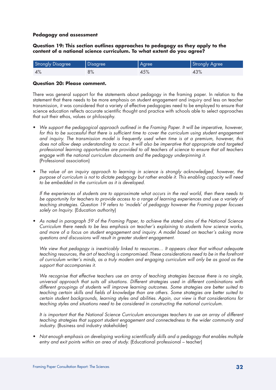#### **Pedagogy and assessment**

**Question 19: This section outlines approaches to pedagogy as they apply to the content of a national science curriculum. To what extent do you agree?**

| <b>Strongly Disagree</b> | Disagree | <b>Agree</b> | Strongly Agree |
|--------------------------|----------|--------------|----------------|
| 4%                       | 8%       | 45%          | 43%            |

#### **Question 20: Please comment.**

There was general support for the statements about pedagogy in the framing paper. In relation to the statement that there needs to be more emphasis on student engagement and inquiry and less on teacher transmission, it was considered that a variety of effective pedagogies need to be employed to ensure that science education reflects accurate scientific thought and practice with schools able to select approaches that suit their ethos, values or philosophy.

- We support the pedagogical approach outlined in the Framing Paper. It will be imperative, however, for this to be successful that there is sufficient time to cover the curriculum using student engagement and inquiry. The transmission model is frequently used when time is at a premium, however, this does not allow deep understanding to occur. It will also be imperative that appropriate and targeted professional learning opportunities are provided to all teachers of science to ensure that all teachers engage with the national curriculum documents and the pedagogy underpinning it. (Professional association)
- The value of an inquiry approach to learning in science is strongly acknowledged, however, the purpose of curriculum is not to dictate pedagogy but rather enable it. This enabling capacity will need to be embedded in the curriculum as it is developed.

 If the experiences of students are to approximate what occurs in the real world, then there needs to be opportunity for teachers to provide access to a range of learning experiences and use a variety of teaching strategies. Question 19 refers to 'models' of pedagogy however the Framing paper focuses solely on Inquiry. (Education authority)

As noted in paragraph 59 of the Framing Paper, to achieve the stated aims of the National Science Curriculum there needs to be less emphasis on teacher's explaining to students how science works, and more of a focus on student engagement and inquiry. A model based on teacher's asking more questions and discussions will result in greater student engagement.

We view that pedagogy is inextricably linked to resources... It appears clear that without adequate teaching resources, the art of teaching is compromised. These considerations need to be in the forefront of curriculum writer's minds, as a truly modern and engaging curriculum will only be as good as the support that accompanies it.

We recognise that effective teachers use an array of teaching strategies because there is no single, universal approach that suits all situations. Different strategies used in different combinations with different groupings of students will improve learning outcomes. Some strategies are better suited to teaching certain skills and fields of knowledge than are others. Some strategies are better suited to certain student backgrounds, learning styles and abilities. Again, our view is that considerations for teaching styles and situations need to be considered in constructing the national curriculum.

 It is important that the National Science Curriculum encourages teachers to use an array of different teaching strategies that support student engagement and connectedness to the wider community and industry. (Business and industry stakeholder)

Not enough emphasis on developing working scientifically skills and a pedagogy that enables multiple entry and exit points within an area of study. (Educational professional – teacher)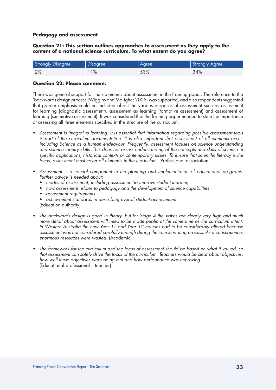#### **Pedagogy and assessment**

**Question 21: This section outlines approaches to assessment as they apply to the content of a national science curriculum. To what extent do you agree?**

| <b>Strongly Disagree</b> | Disagree | Agree | Strongly Agree |
|--------------------------|----------|-------|----------------|
| 2%                       | $1\%$    | 53%   | 34%            |

#### **Question 22: Please comment.**

There was general support for the statements about assessment in the framing paper. The reference to the 'backwards design process (Wiggins and McTighe: 2005) was supported, and also respondents suggested that greater emphasis could be included about the various purposes of assessment such as assessment for learning (diagnostic assessment), assessment as learning (formative assessment) and assessment of learning (summative assessment). It was considered that the framing paper needed to state the importance of assessing all three elements specified in the structure of the curriculum.

- Assessment is integral to learning. It is essential that information regarding possible assessment tools is part of the curriculum documentation. It is also important that assessment of all elements occur, including Science as a human endeavour. Frequently, assessment focuses on science understanding and science inquiry skills. This does not assess understanding of the concepts and skills of science in specific applications, historical contexts or contemporary issues. To ensure that scientific literacy is the focus, assessment must cover all elements in the curriculum. (Professional association)
- Assessment is a crucial component in the planning and implementation of educational programs. Further advice is needed about:
	- modes of assessment, including assessment to improve student learning
	- how assessment relates to pedagogy and the development of science capabilities
	- assessment requirements
	- achievement standards in describing overall student achievement. (Education authority)
- The backwards design is good in theory, but for Stage 4 the stakes are clearly very high and much more detail about assessment will need to be made public at the same time as the curriculum intent. In Western Australia the new Year 11 and Year 12 courses had to be considerably altered because assessment was not considered carefully enough during the course writing process. As a consequence, enormous resources were wasted. (Academic)
- The framework for the curriculum and the focus of assessment should be based on what it valued, so that assessment can safely drive the focus of the curriculum. Teachers would be clear about objectives, how well these objectives were being met and how performance was improving. (Educational professional – teacher)